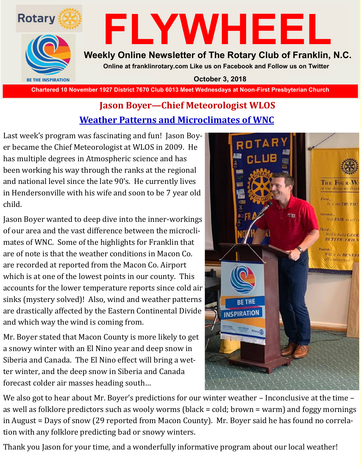

# **FLYWHEEL**

#### **Weekly Online Newsletter of The Rotary Club of Franklin, N.C.**

**Online at franklinrotary.com Like us on Facebook and Follow us on Twitter**

**October 3, 2018**

**Chartered 10 November 1927 District 7670 Club 6013 Meet Wednesdays at Noon-First Presbyterian Church**

### **Jason Boyer—Chief Meteorologist WLOS Weather Patterns and Microclimates of WNC**

Last week's program was fascinating and fun! Jason Boyer became the Chief Meteorologist at WLOS in 2009. He has multiple degrees in Atmospheric science and has been working his way through the ranks at the regional and national level since the late 90's. He currently lives in Hendersonville with his wife and soon to be 7 year old child.

Jason Boyer wanted to deep dive into the inner-workings of our area and the vast difference between the microclimates of WNC. Some of the highlights for Franklin that are of note is that the weather conditions in Macon Co. are recorded at reported from the Macon Co. Airport which is at one of the lowest points in our county. This accounts for the lower temperature reports since cold air sinks (mystery solved)! Also, wind and weather patterns are drastically affected by the Eastern Continental Divide and which way the wind is coming from.

Mr. Boyer stated that Macon County is more likely to get a snowy winter with an El Nino year and deep snow in Siberia and Canada. The El Nino effect will bring a wetter winter, and the deep snow in Siberia and Canada forecast colder air masses heading south…



We also got to hear about Mr. Boyer's predictions for our winter weather – Inconclusive at the time – as well as folklore predictors such as wooly worms (black = cold; brown = warm) and foggy mornings in August = Days of snow (29 reported from Macon County). Mr. Boyer said he has found no correlation with any folklore predicting bad or snowy winters.

Thank you Jason for your time, and a wonderfully informative program about our local weather!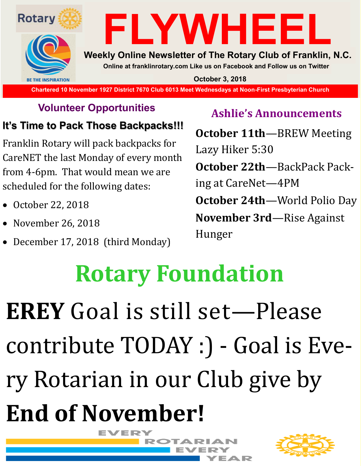

### **Volunteer Opportunities**

## **It's Time to Pack Those Backpacks!!!**

Franklin Rotary will pack backpacks for CareNET the last Monday of every month from 4-6pm. That would mean we are scheduled for the following dates:

- October 22, 2018
- November 26, 2018
- December 17, 2018 (third Monday)

## **Ashlie's Announcements**

**October 11th**—BREW Meeting Lazy Hiker 5:30 **October 22th**—BackPack Packing at CareNet—4PM **October 24th**—World Polio Day **November 3rd**—Rise Against Hunger

# **Rotary Foundation**

# **EREY** Goal is still set—Please contribute TODAY :) - Goal is Every Rotarian in our Club give by **End of November!** EVERY



∍∧ D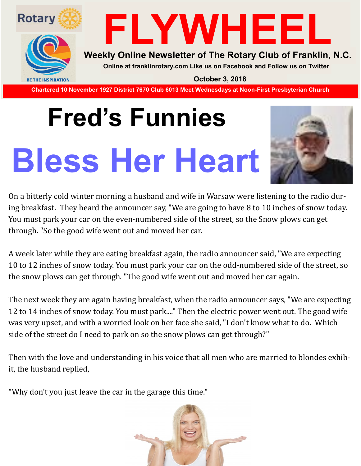

# **FLYWHEEL**

#### **Weekly Online Newsletter of The Rotary Club of Franklin, N.C.**

**Online at franklinrotary.com Like us on Facebook and Follow us on Twitter**

**October 3, 2018**

**Chartered 10 November 1927 District 7670 Club 6013 Meet Wednesdays at Noon-First Presbyterian Church**

# **Fred's Funnies Bless Her Heart**



On a bitterly cold winter morning a husband and wife in Warsaw were listening to the radio during breakfast. They heard the announcer say, "We are going to have 8 to 10 inches of snow today. You must park your car on the even-numbered side of the street, so the Snow plows can get through. "So the good wife went out and moved her car.

A week later while they are eating breakfast again, the radio announcer said, "We are expecting 10 to 12 inches of snow today. You must park your car on the odd-numbered side of the street, so the snow plows can get through. "The good wife went out and moved her car again.

The next week they are again having breakfast, when the radio announcer says, "We are expecting 12 to 14 inches of snow today. You must park...." Then the electric power went out. The good wife was very upset, and with a worried look on her face she said, "I don't know what to do. Which side of the street do I need to park on so the snow plows can get through?"

Then with the love and understanding in his voice that all men who are married to blondes exhibit, the husband replied,

"Why don't you just leave the car in the garage this time."